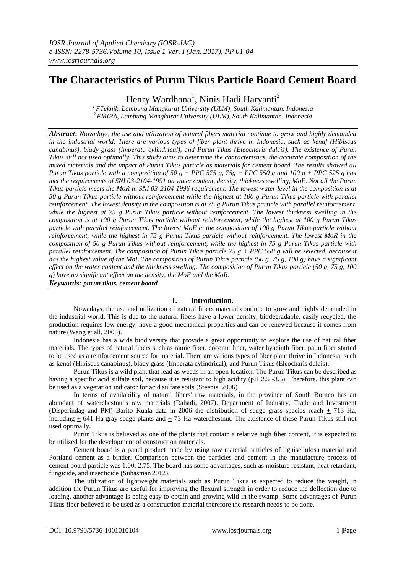# **The Characteristics of Purun Tikus Particle Board Cement Board**

Henry Wardhana<sup>1</sup>, Ninis Hadi Haryanti<sup>2</sup>

*<sup>1</sup>FTeknik, Lambung Mangkurat University (ULM), South Kalimantan. Indonesia <sup>2</sup>FMIPA, Lambung Mangkurat University (ULM), South Kalimantan. Indonesia*

*Abstract***:** *Nowadays, the use and utilization of natural fibers material continue to grow and highly demanded in the industrial world. There are various types of fiber plant thrive in Indonesia, such as kenaf (Hibiscus canabinus), blady grass (Imperata cylindrical), and Purun Tikus (Eleocharis dulcis). The existence of Purun Tikus still not used optimally. This study aims to determine the characteristics, the accurate composition of the mixed materials and the impact of Purun Tikus particle as materials for cement board. The results showed all Purun Tikus particle with a composition of 50 g + PPC 575 g, 75g + PPC 550 g and 100 g + PPC 525 g has met the requirements of SNI 03-2104-1991 on water content, density, thickness swelling, MoE. Not all the Purun Tikus particle meets the MoR in SNI 03-2104-1996 requirement. The lowest water level in the composition is at 50 g Purun Tikus particle without reinforcement while the highest at 100 g Purun Tikus particle with parallel reinforcement. The lowest density in the composition is at 75 g Purun Tikus particle with parallel reinforcement, while the highest at 75 g Purun Tikus particle without reinforcement. The lowest thickness swelling in the composition is at 100 g Purun Tikus particle without reinforcement, while the highest at 100 g Purun Tikus particle with parallel reinforcement. The lowest MoE in the composition of 100 g Purun Tikus particle without reinforcement, while the highest in 75 g Purun Tikus particle without reinforcement. The lowest MoR in the composition of 50 g Purun Tikus without reinforcement, while the highest in 75 g Purun Tikus particle with parallel reinforcement. The composition of Purun Tikus particle 75 g + PPC 550 g will be selected, because it has the highest value of the MoE.The composition of Purun Tikus particle (50 g, 75 g, 100 g) have a significant effect on the water content and the thickness swelling. The composition of Purun Tikus particle (50 g, 75 g, 100 g) have no significant effect on the density, the MoE and the MoR.* 

*Keywords: purun tikus, cement board*

## **I. Introduction.**

Nowadays, the use and utilization of natural fibers material continue to grow and highly demanded in the industrial world. This is due to the natural fibers have a lower density, biodegradable, easily recycled, the production requires low energy, have a good mechanical properties and can be renewed because it comes from nature (Wang et all, 2003).

Indonesia has a wide biodiversity that provide a great opportunity to explore the use of natural fiber materials. The types of natural fibers such as ramie fiber, coconut fiber, water hyacinth fiber, palm fiber started to be used as a reinforcement source for material. There are various types of fiber plant thrive in Indonesia, such as kenaf (Hibiscus canabinus), blady grass (Imperata cylindrical), and Purun Tikus (Eleocharis dulcis).

Purun Tikus is a wild plant that lead as weeds in an open location. The Purun Tikus can be described as having a specific acid sulfate soil, because it is resistant to high acidity (pH 2.5 -3.5). Therefore, this plant can be used as a vegetation indicator for acid sulfate soils (Steenis, 2006)

In terms of availability of natural fibers' raw materials, in the province of South Borneo has an abundant of waterchestnut's raw materials (Rahadi, 2007). Department of Industry, Trade and Investment (Disperindag and PM) Barito Kuala data in 2006 the distribution of sedge grass species reach  $\pm$  713 Ha, including  $+ 641$  Ha gray sedge plants and  $+ 73$  Ha waterchestnut. The existence of these Purun Tikus still not used optimally.

Purun Tikus is believed as one of the plants that contain a relative high fiber content, it is expected to be utilized for the development of construction materials.

Cement board is a panel product made by using raw material particles of lignisellulosa material and Portland cement as a binder. Comparison between the particles and cement in the manufacture process of cement board particle was 1.00: 2.75. The board has some advantages, such as moisture resistant, heat retardant, fungicide, and insecticide (Suhasman 2012).

The utilization of lightweight materials such as Purun Tikus is expected to reduce the weight, in addition the Purun Tikus are useful for improving the flexural strength in order to reduce the deflection due to loading, another advantage is being easy to obtain and growing wild in the swamp. Some advantages of Purun Tikus fiber believed to be used as a construction material therefore the research needs to be done.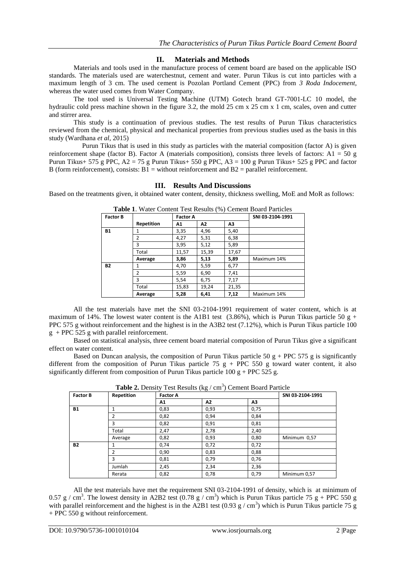## **II. Materials and Methods**

Materials and tools used in the manufacture process of cement board are based on the applicable ISO standards. The materials used are waterchestnut, cement and water. Purun Tikus is cut into particles with a maximum length of 3 cm. The used cement is Pozolan Portland Cement (PPC) from *3 Roda Indocement*, whereas the water used comes from Water Company.

The tool used is Universal Testing Machine (UTM) Gotech brand GT-7001-LC 10 model, the hydraulic cold press machine shown in the figure 3.2, the mold 25 cm x 25 cm x 1 cm, scales, oven and cutter and stirrer area.

This study is a continuation of previous studies. The test results of Purun Tikus characteristics reviewed from the chemical, physical and mechanical properties from previous studies used as the basis in this study (Wardhana *et al*, 2015)

 Purun Tikus that is used in this study as particles with the material composition (factor A) is given reinforcement shape (factor B). Factor A (materials composition), consists three levels of factors: A1 = 50 g Purun Tikus+ 575 g PPC, A2 = 75 g Purun Tikus+ 550 g PPC, A3 = 100 g Purun Tikus+ 525 g PPC and factor B (form reinforcement), consists:  $B1 =$  without reinforcement and  $B2 =$  parallel reinforcement.

### **III. Results And Discussions**

Based on the treatments given, it obtained water content, density, thickness swelling, MoE and MoR as follows:

| <b>Table 1.</b> Water Content Test Results (70) Centent Board Farticles |            |                 |       |       |                  |  |  |
|-------------------------------------------------------------------------|------------|-----------------|-------|-------|------------------|--|--|
| <b>Factor B</b>                                                         |            | <b>Factor A</b> |       |       | SNI 03-2104-1991 |  |  |
|                                                                         | Repetition | Α1              | Λ2    | Α3    |                  |  |  |
| <b>B1</b>                                                               | 1          | 3,35            | 4,96  | 5,40  |                  |  |  |
|                                                                         | 2          | 4,27            | 5,31  | 6,38  |                  |  |  |
|                                                                         | ς          | 3.95            | 5,12  | 5,89  |                  |  |  |
|                                                                         | Total      | 11,57           | 15,39 | 17,67 |                  |  |  |
|                                                                         | Average    | 3.86            | 5,13  | 5,89  | Maximum 14%      |  |  |
| <b>B2</b>                                                               | 1          | 4.70            | 5,59  | 6,77  |                  |  |  |
|                                                                         | 2          | 5.59            | 6.90  | 7.41  |                  |  |  |
|                                                                         | ς          | 5.54            | 6.75  | 7,17  |                  |  |  |
|                                                                         | Total      | 15,83           | 19,24 | 21,35 |                  |  |  |
|                                                                         | Average    | 5,28            | 6.41  | 7,12  | Maximum 14%      |  |  |

**Table 1**. Water Content Test Results (%) Cement Board Particles

All the test materials have met the SNI 03-2104-1991 requirement of water content, which is at maximum of 14%. The lowest water content is the A1B1 test (3.86%), which is Purun Tikus particle 50 g + PPC 575 g without reinforcement and the highest is in the A3B2 test (7.12%), which is Purun Tikus particle 100 g + PPC 525 g with parallel reinforcement.

Based on statistical analysis, three cement board material composition of Purun Tikus give a significant effect on water content.

Based on Duncan analysis, the composition of Purun Tikus particle 50  $g$  + PPC 575 g is significantly different from the composition of Purun Tikus particle 75  $g$  + PPC 550 g toward water content, it also significantly different from composition of Purun Tikus particle 100 g + PPC 525 g.

| <b>Factor B</b> | Repetition | <b>Tuble 2.</b> Density Test Results $\{R_{\mu}\}\$ can feel bound I write<br><b>Factor A</b> | SNI 03-2104-1991 |      |              |
|-----------------|------------|-----------------------------------------------------------------------------------------------|------------------|------|--------------|
|                 |            | Α1                                                                                            | Λ2               | Λ3   |              |
| <b>B1</b>       |            | 0,83                                                                                          | 0,93             | 0,75 |              |
|                 | 2          | 0,82                                                                                          | 0,94             | 0,84 |              |
|                 | 3          | 0,82                                                                                          | 0,91             | 0,81 |              |
|                 | Total      | 2,47                                                                                          | 2,78             | 2,40 |              |
|                 | Average    | 0,82                                                                                          | 0,93             | 0,80 | Minimum 0,57 |
| <b>B2</b>       |            | 0,74                                                                                          | 0,72             | 0,72 |              |
|                 | 2          | 0,90                                                                                          | 0,83             | 0,88 |              |
|                 | 3          | 0,81                                                                                          | 0,79             | 0,76 |              |
|                 | Jumlah     | 2,45                                                                                          | 2,34             | 2,36 |              |
|                 | Rerata     | 0,82                                                                                          | 0,78             | 0,79 | Minimum 0,57 |

| <b>Table 2.</b> Density Test Results ( $kg / cm3$ ) Cement Board Particle |  |  |
|---------------------------------------------------------------------------|--|--|
|                                                                           |  |  |

All the test materials have met the requirement SNI 03-2104-1991 of density, which is at minimum of 0.57 g / cm<sup>3</sup>. The lowest density in A2B2 test (0.78 g / cm<sup>3</sup>) which is Purun Tikus particle 75 g + PPC 550 g with parallel reinforcement and the highest is in the A2B1 test (0.93 g / cm<sup>3</sup>) which is Purun Tikus particle 75 g + PPC 550 g without reinforcement.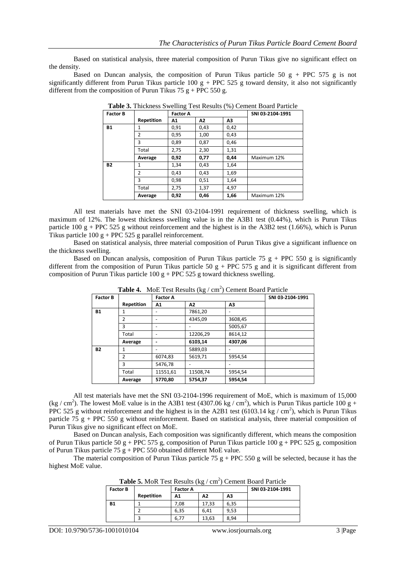Based on statistical analysis, three material composition of Purun Tikus give no significant effect on the density.

Based on Duncan analysis, the composition of Purun Tikus particle 50  $g + PPC$  575 g is not significantly different from Purun Tikus particle 100  $g + PPC 525 g$  toward density, it also not significantly different from the composition of Purun Tikus 75  $g$  + PPC 550 g.

| <b>Factor B</b> |                | <b>Factor A</b> |      |      | SNI 03-2104-1991 |
|-----------------|----------------|-----------------|------|------|------------------|
|                 | Repetition     | A1              | Α2   | Λ3   |                  |
| <b>B1</b>       |                | 0,91            | 0,43 | 0,42 |                  |
|                 | $\overline{2}$ | 0,95            | 1,00 | 0,43 |                  |
|                 | 3              | 0,89            | 0,87 | 0,46 |                  |
|                 | Total          | 2,75            | 2,30 | 1,31 |                  |
|                 | Average        | 0,92            | 0,77 | 0,44 | Maximum 12%      |
| <b>B2</b>       | 1              | 1,34            | 0,43 | 1,64 |                  |
|                 | $\mathfrak{p}$ | 0.43            | 0,43 | 1,69 |                  |
|                 | 3              | 0,98            | 0,51 | 1,64 |                  |
|                 | Total          | 2,75            | 1,37 | 4,97 |                  |
|                 | Average        | 0,92            | 0,46 | 1,66 | Maximum 12%      |

**Table 3.** Thickness Swelling Test Results (%) Cement Board Particle

All test materials have met the SNI 03-2104-1991 requirement of thickness swelling, which is maximum of 12%. The lowest thickness swelling value is in the A3B1 test (0.44%), which is Purun Tikus particle 100 g + PPC 525 g without reinforcement and the highest is in the A3B2 test (1.66%), which is Purun Tikus particle  $100 g + PPC 525 g$  parallel reinforcement.

Based on statistical analysis, three material composition of Purun Tikus give a significant influence on the thickness swelling.

Based on Duncan analysis, composition of Purun Tikus particle 75 g + PPC 550 g is significantly different from the composition of Purun Tikus particle 50  $g + PPC$  575 g and it is significant different from composition of Purun Tikus particle 100 g + PPC 525 g toward thickness swelling.

| <b>Lable 4.</b> MOL Test Results (Kg / CIII ) Centent Doard Farticle |            |                 |                  |                |  |  |  |
|----------------------------------------------------------------------|------------|-----------------|------------------|----------------|--|--|--|
| <b>Factor B</b>                                                      |            | <b>Factor A</b> | SNI 03-2104-1991 |                |  |  |  |
|                                                                      | Repetition | Α1              | A2               | A <sub>3</sub> |  |  |  |
| <b>B1</b>                                                            |            |                 | 7861,20          |                |  |  |  |
|                                                                      | 2          |                 | 4345,09          | 3608,45        |  |  |  |
|                                                                      | 3          |                 |                  | 5005,67        |  |  |  |
|                                                                      | Total      |                 | 12206,29         | 8614,12        |  |  |  |
|                                                                      | Average    |                 | 6103,14          | 4307,06        |  |  |  |
| <b>B2</b>                                                            |            |                 | 5889,03          |                |  |  |  |
|                                                                      | 2          | 6074,83         | 5619,71          | 5954,54        |  |  |  |
|                                                                      | 3          | 5476,78         |                  |                |  |  |  |
|                                                                      | Total      | 11551,61        | 11508,74         | 5954,54        |  |  |  |
|                                                                      | Average    | 5770,80         | 5754,37          | 5954.54        |  |  |  |

Table 4. MoE Test Results (kg / cm<sup>2</sup>) Cement Board Particle

All test materials have met the SNI 03-2104-1996 requirement of MoE, which is maximum of 15,000 (kg / cm<sup>2</sup>). The lowest MoE value is in the A3B1 test (4307.06 kg / cm<sup>2</sup>), which is Purun Tikus particle 100 g + PPC 525 g without reinforcement and the highest is in the A2B1 test (6103.14 kg / cm<sup>2</sup>), which is Purun Tikus particle 75 g + PPC 550 g without reinforcement. Based on statistical analysis, three material composition of Purun Tikus give no significant effect on MoE.

Based on Duncan analysis, Each composition was significantly different, which means the composition of Purun Tikus particle 50 g + PPC 575 g, composition of Purun Tikus particle 100 g + PPC 525 g, composition of Purun Tikus particle 75 g + PPC 550 obtained different MoE value.

The material composition of Purun Tikus particle 75 g + PPC 550 g will be selected, because it has the highest MoE value.

| <b>Factor B</b> |            | <b>Factor A</b> |                |      | SNI 03-2104-1991 |
|-----------------|------------|-----------------|----------------|------|------------------|
|                 | Repetition | Α1              | A <sub>2</sub> | A3   |                  |
| <b>B1</b>       |            | 7.08            | 17.33          | 6,35 |                  |
|                 |            | 6,35            | 6.41           | 9,53 |                  |
|                 |            | 6,77            | 13,63          | 8,94 |                  |

Table 5. MoR Test Results (kg / cm<sup>2</sup>) Cement Board Particle